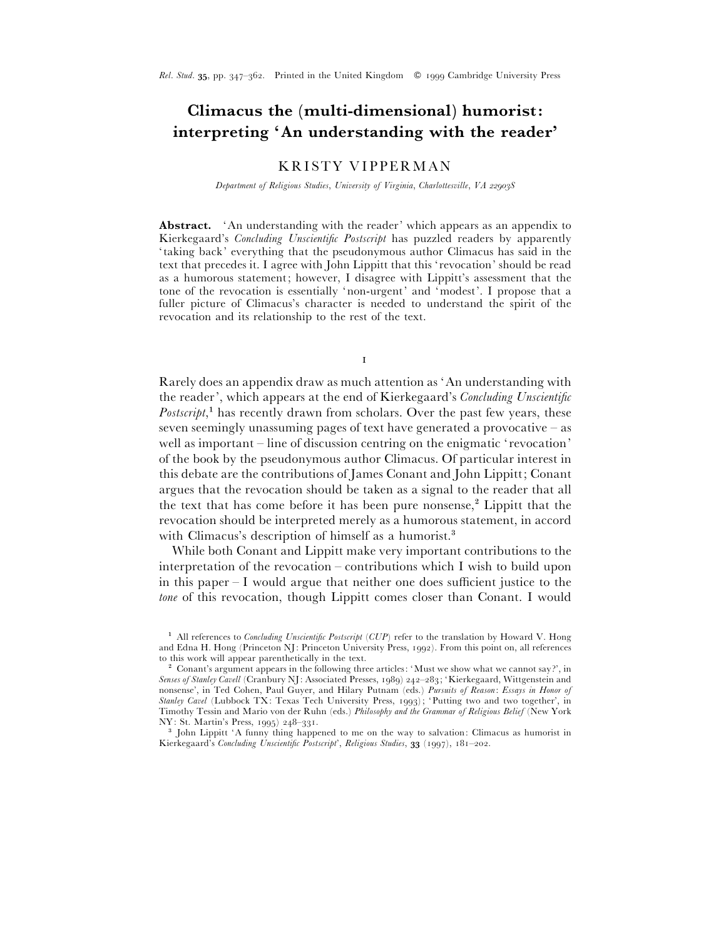# *Climacus the (multi-dimensional) humorist: interpreting 'An understanding with the reader'*

# KRISTY VIPPERMAN

*Department of Religious Studies, University of Virginia, Charlottesville, VA 22903S* 

**Abstract.** 'An understanding with the reader' which appears as an appendix to Kierkegaard's *Concluding Unscientific Postscript* has puzzled readers by apparently ' taking back' everything that the pseudonymous author Climacus has said in the text that precedes it. I agree with John Lippitt that this ' revocation' should be read as a humorous statement; however, I disagree with Lippitt's assessment that the tone of the revocation is essentially 'non-urgent' and 'modest'. I propose that a fuller picture of Climacus's character is needed to understand the spirit of the revocation and its relationship to the rest of the text.

 $\mathbf I$ 

Rarely does an appendix draw as much attention as 'An understanding with the reader', which appears at the end of Kierkegaard's *Concluding Unscientific Postscript*,<sup>1</sup> has recently drawn from scholars. Over the past few years, these seven seemingly unassuming pages of text have generated a provocative – as well as important – line of discussion centring on the enigmatic 'revocation' of the book by the pseudonymous author Climacus. Of particular interest in this debate are the contributions of James Conant and John Lippitt; Conant argues that the revocation should be taken as a signal to the reader that all the text that has come before it has been pure nonsense, $\frac{1}{2}$  Lippitt that the revocation should be interpreted merely as a humorous statement, in accord with Climacus's description of himself as a humorist.<sup>3</sup>

While both Conant and Lippitt make very important contributions to the interpretation of the revocation – contributions which I wish to build upon in this paper – I would argue that neither one does sufficient justice to the *tone* of this revocation, though Lippitt comes closer than Conant. I would

<sup>&</sup>quot; All references to *Concluding Unscientific Postscript* (*CUP*) refer to the translation by Howard V. Hong and Edna H. Hong (Princeton NJ: Princeton University Press, 1992). From this point on, all references to this work will appear parenthetically in the text.

<sup>&</sup>lt;sup>2</sup> Conant's argument appears in the following three articles: 'Must we show what we cannot say?', in Senses of Stanley Cavell (Cranbury NJ: Associated Presses, 1989) 242-283; 'Kierkegaard, Wittgenstein and nonsense', in Ted Cohen, Paul Guyer, and Hilary Putnam (eds.) *Pursuits of Reason*: *Essays in Honor of Stanley Cavel* (Lubbock TX: Texas Tech University Press, 1993); 'Putting two and two together', in Timothy Tessin and Mario von der Ruhn (eds.) *Philosophy and the Grammar of Religious Belief* (New York NY: St. Martin's Press, 1995) 248–331.

John Lippitt 'A funny thing happened to me on the way to salvation: Climacus as humorist in Kierkegaard's *Concluding Unscientific Postscript*', *Religious Studies*, 33 (1997), 181-202.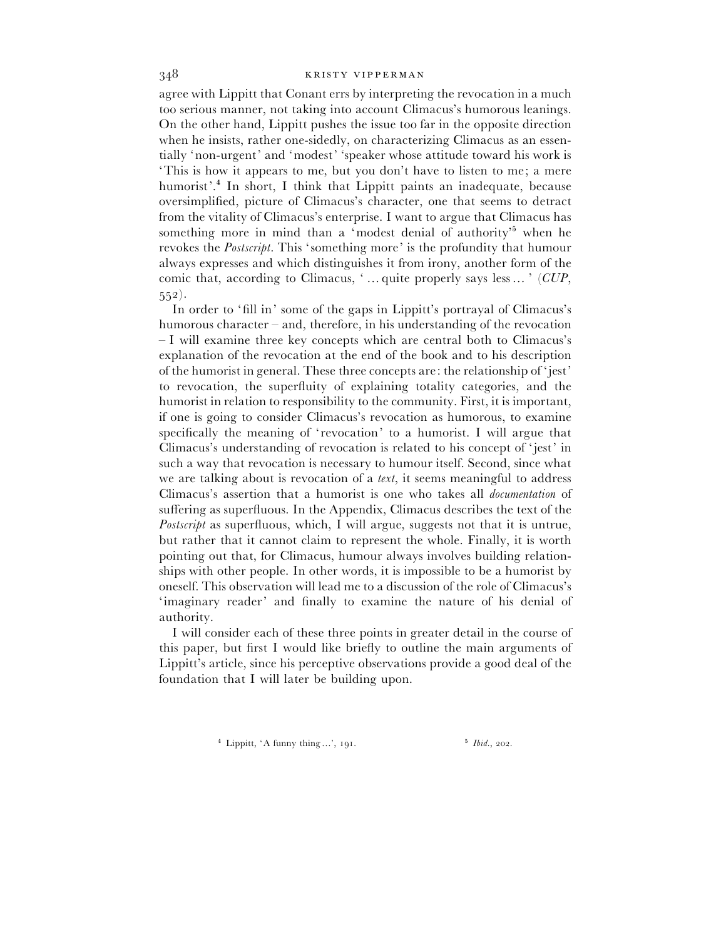agree with Lippitt that Conant errs by interpreting the revocation in a much too serious manner, not taking into account Climacus's humorous leanings. On the other hand, Lippitt pushes the issue too far in the opposite direction when he insists, rather one-sidedly, on characterizing Climacus as an essentially 'non-urgent' and 'modest' 'speaker whose attitude toward his work is 'This is how it appears to me, but you don't have to listen to me; a mere humorist'.<sup>4</sup> In short, I think that Lippitt paints an inadequate, because oversimplified, picture of Climacus's character, one that seems to detract from the vitality of Climacus's enterprise. I want to argue that Climacus has something more in mind than a 'modest denial of authority'<sup>5</sup> when he revokes the *Postscript*. This ' something more' is the profundity that humour always expresses and which distinguishes it from irony, another form of the comic that, according to Climacus, ' … quite properly says less… ' (*CUP*,  $552$ ).

In order to 'fill in' some of the gaps in Lippitt's portrayal of Climacus's humorous character – and, therefore, in his understanding of the revocation – I will examine three key concepts which are central both to Climacus's explanation of the revocation at the end of the book and to his description of the humorist in general. These three concepts are: the relationship of 'jest' to revocation, the superfluity of explaining totality categories, and the humorist in relation to responsibility to the community. First, it is important, if one is going to consider Climacus's revocation as humorous, to examine specifically the meaning of 'revocation' to a humorist. I will argue that Climacus's understanding of revocation is related to his concept of 'jest' in such a way that revocation is necessary to humour itself. Second, since what we are talking about is revocation of a *text*, it seems meaningful to address Climacus's assertion that a humorist is one who takes all *documentation* of suffering as superfluous. In the Appendix, Climacus describes the text of the *Postscript* as superfluous, which, I will argue, suggests not that it is untrue, but rather that it cannot claim to represent the whole. Finally, it is worth pointing out that, for Climacus, humour always involves building relationships with other people. In other words, it is impossible to be a humorist by oneself. This observation will lead me to a discussion of the role of Climacus's 'imaginary reader' and finally to examine the nature of his denial of authority.

I will consider each of these three points in greater detail in the course of this paper, but first I would like briefly to outline the main arguments of Lippitt's article, since his perceptive observations provide a good deal of the foundation that I will later be building upon.

<sup>4</sup> Lippitt, 'A funny thing ...', 191.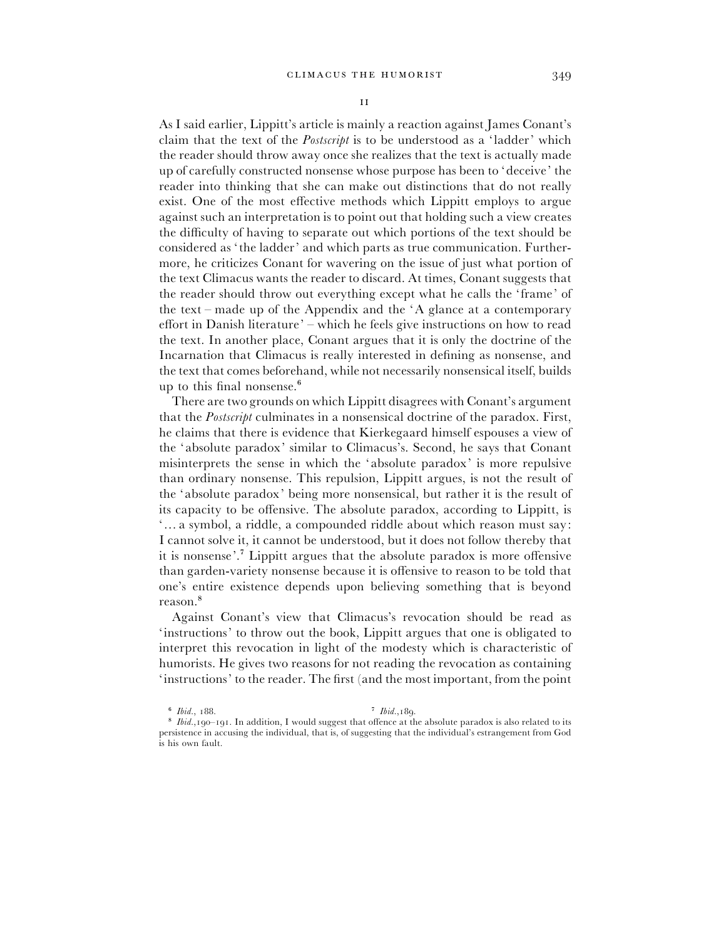As I said earlier, Lippitt's article is mainly a reaction against James Conant's claim that the text of the *Postscript* is to be understood as a 'ladder' which the reader should throw away once she realizes that the text is actually made up of carefully constructed nonsense whose purpose has been to 'deceive' the reader into thinking that she can make out distinctions that do not really exist. One of the most effective methods which Lippitt employs to argue against such an interpretation is to point out that holding such a view creates the difficulty of having to separate out which portions of the text should be considered as ' the ladder' and which parts as true communication. Furthermore, he criticizes Conant for wavering on the issue of just what portion of the text Climacus wants the reader to discard. At times, Conant suggests that the reader should throw out everything except what he calls the 'frame' of the text – made up of the Appendix and the 'A glance at a contemporary effort in Danish literature' – which he feels give instructions on how to read the text. In another place, Conant argues that it is only the doctrine of the Incarnation that Climacus is really interested in defining as nonsense, and the text that comes beforehand, while not necessarily nonsensical itself, builds up to this final nonsense.'

There are two grounds on which Lippitt disagrees with Conant's argument that the *Postscript* culminates in a nonsensical doctrine of the paradox. First, he claims that there is evidence that Kierkegaard himself espouses a view of the ' absolute paradox' similar to Climacus's. Second, he says that Conant misinterprets the sense in which the ' absolute paradox' is more repulsive than ordinary nonsense. This repulsion, Lippitt argues, is not the result of the ' absolute paradox' being more nonsensical, but rather it is the result of its capacity to be offensive. The absolute paradox, according to Lippitt, is '… a symbol, a riddle, a compounded riddle about which reason must say: I cannot solve it, it cannot be understood, but it does not follow thereby that it is nonsense'.<sup>7</sup> Lippitt argues that the absolute paradox is more offensive than garden-variety nonsense because it is offensive to reason to be told that one's entire existence depends upon believing something that is beyond reason.<sup>8</sup>

Against Conant's view that Climacus's revocation should be read as 'instructions' to throw out the book, Lippitt argues that one is obligated to interpret this revocation in light of the modesty which is characteristic of humorists. He gives two reasons for not reading the revocation as containing 'instructions' to the reader. The first (and the most important, from the point

 $\frac{6}{9}$  $I_{bid., 188.}$ <sup>*I*</sup> *Ibid.*, 188.

<sup>&</sup>lt;sup>8</sup> Ibid.,190–191. In addition, I would suggest that offence at the absolute paradox is also related to its persistence in accusing the individual, that is, of suggesting that the individual's estrangement from God is his own fault.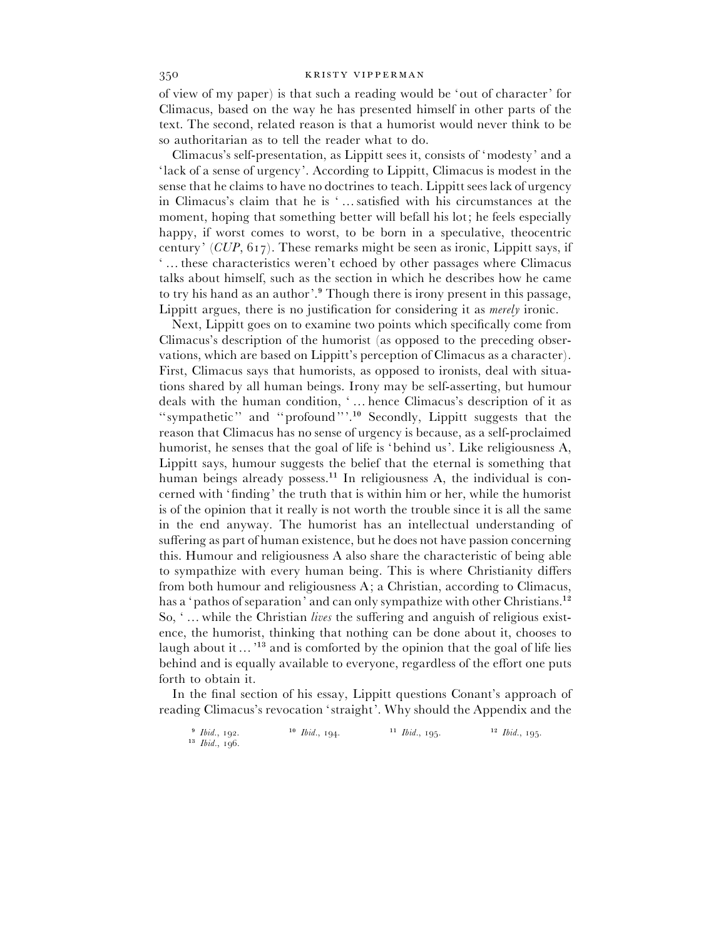of view of my paper) is that such a reading would be ' out of character' for Climacus, based on the way he has presented himself in other parts of the text. The second, related reason is that a humorist would never think to be so authoritarian as to tell the reader what to do.

Climacus's self-presentation, as Lippitt sees it, consists of 'modesty' and a 'lack of a sense of urgency'. According to Lippitt, Climacus is modest in the sense that he claims to have no doctrines to teach. Lippitt sees lack of urgency in Climacus's claim that he is ' … satisfied with his circumstances at the moment, hoping that something better will befall his lot; he feels especially happy, if worst comes to worst, to be born in a speculative, theocentric century' (*CUP*, 617). These remarks might be seen as ironic, Lippitt says, if ' … these characteristics weren't echoed by other passages where Climacus talks about himself, such as the section in which he describes how he came to try his hand as an author'.<sup>9</sup> Though there is irony present in this passage, Lippitt argues, there is no justification for considering it as *merely* ironic.

Next, Lippitt goes on to examine two points which specifically come from Climacus's description of the humorist (as opposed to the preceding observations, which are based on Lippitt's perception of Climacus as a character). First, Climacus says that humorists, as opposed to ironists, deal with situations shared by all human beings. Irony may be self-asserting, but humour deals with the human condition, ' … hence Climacus's description of it as "sympathetic" and "profound"'.<sup>10</sup> Secondly, Lippitt suggests that the reason that Climacus has no sense of urgency is because, as a self-proclaimed humorist, he senses that the goal of life is 'behind us'. Like religiousness A, Lippitt says, humour suggests the belief that the eternal is something that human beings already possess.<sup>11</sup> In religiousness A, the individual is concerned with 'finding' the truth that is within him or her, while the humorist is of the opinion that it really is not worth the trouble since it is all the same in the end anyway. The humorist has an intellectual understanding of suffering as part of human existence, but he does not have passion concerning this. Humour and religiousness A also share the characteristic of being able to sympathize with every human being. This is where Christianity differs from both humour and religiousness A; a Christian, according to Climacus, has a 'pathos of separation' and can only sympathize with other Christians.<sup>12</sup> So, ' … while the Christian *lives* the suffering and anguish of religious existence, the humorist, thinking that nothing can be done about it, chooses to laugh about it...<sup>'13</sup> and is comforted by the opinion that the goal of life lies behind and is equally available to everyone, regardless of the effort one puts forth to obtain it.

In the final section of his essay, Lippitt questions Conant's approach of reading Climacus's revocation ' straight'. Why should the Appendix and the

| $^{9}$ <i>Ibid.</i> , 192. | $10$ <i>Ibid.</i> , 194. | $11$ <i>Ibid.</i> , 195. | $12$ <i>Ibid.</i> , 195. |
|----------------------------|--------------------------|--------------------------|--------------------------|
| $13$ <i>Ibid.</i> , 196.   |                          |                          |                          |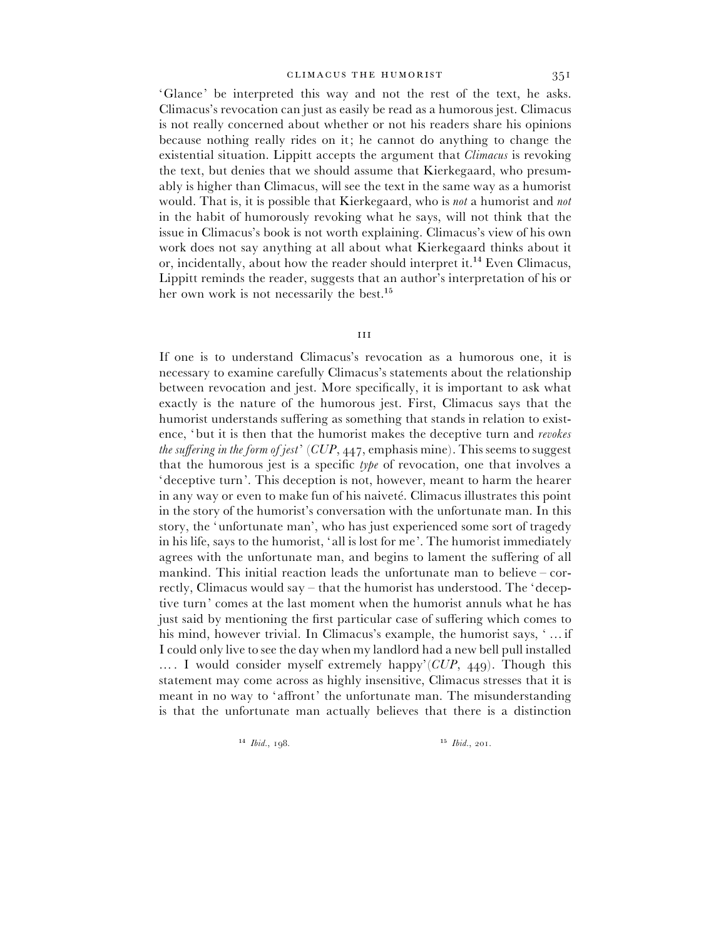'Glance' be interpreted this way and not the rest of the text, he asks. Climacus's revocation can just as easily be read as a humorous jest. Climacus is not really concerned about whether or not his readers share his opinions because nothing really rides on it; he cannot do anything to change the existential situation. Lippitt accepts the argument that *Climacus* is revoking the text, but denies that we should assume that Kierkegaard, who presumably is higher than Climacus, will see the text in the same way as a humorist would. That is, it is possible that Kierkegaard, who is *not* a humorist and *not* in the habit of humorously revoking what he says, will not think that the issue in Climacus's book is not worth explaining. Climacus's view of his own work does not say anything at all about what Kierkegaard thinks about it or, incidentally, about how the reader should interpret it.<sup>14</sup> Even Climacus, Lippitt reminds the reader, suggests that an author's interpretation of his or her own work is not necessarily the best.<sup>15</sup>

 $III$ 

If one is to understand Climacus's revocation as a humorous one, it is necessary to examine carefully Climacus's statements about the relationship between revocation and jest. More specifically, it is important to ask what exactly is the nature of the humorous jest. First, Climacus says that the humorist understands suffering as something that stands in relation to existence, 'but it is then that the humorist makes the deceptive turn and *revokes the suffering in the form of jest*' (*CUP*, 447, emphasis mine). This seems to suggest that the humorous jest is a specific *type* of revocation, one that involves a 'deceptive turn'. This deception is not, however, meant to harm the hearer in any way or even to make fun of his naiveté. Climacus illustrates this point in the story of the humorist's conversation with the unfortunate man. In this story, the 'unfortunate man', who has just experienced some sort of tragedy in his life, says to the humorist, ' all is lost for me'. The humorist immediately agrees with the unfortunate man, and begins to lament the suffering of all mankind. This initial reaction leads the unfortunate man to believe – correctly, Climacus would say – that the humorist has understood. The 'deceptive turn' comes at the last moment when the humorist annuls what he has just said by mentioning the first particular case of suffering which comes to his mind, however trivial. In Climacus's example, the humorist says, ' … if I could only live to see the day when my landlord had a new bell pull installed .... I would consider myself extremely happy'(*CUP*, 449). Though this statement may come across as highly insensitive, Climacus stresses that it is meant in no way to 'affront' the unfortunate man. The misunderstanding is that the unfortunate man actually believes that there is a distinction

 $14$  *Ibid.*, 198.

<sup>15</sup> *Ibid.*, 201.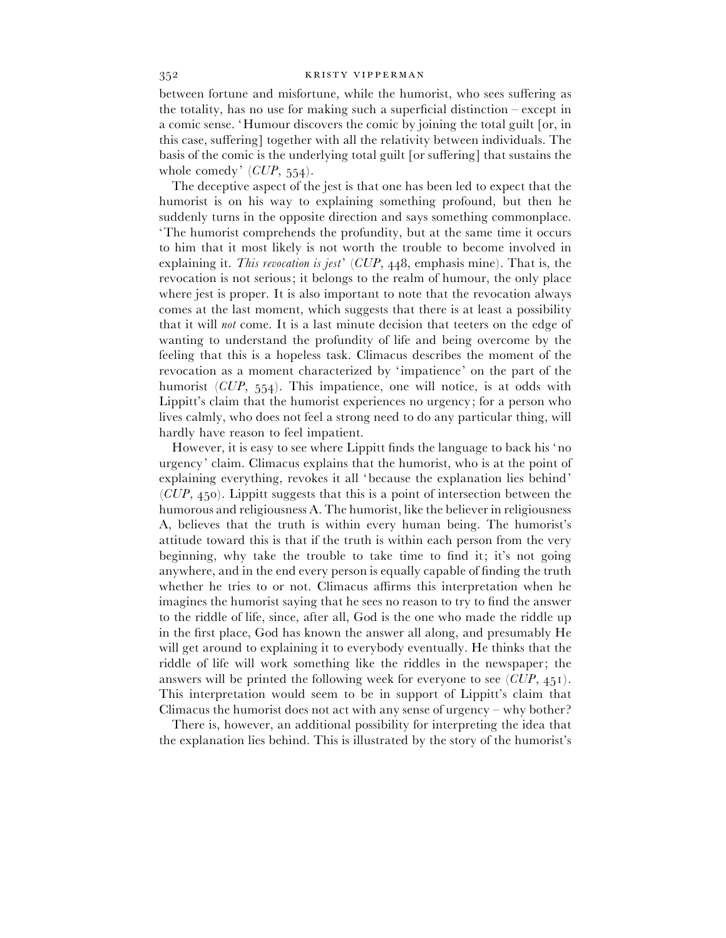between fortune and misfortune, while the humorist, who sees suffering as the totality, has no use for making such a superficial distinction – except in a comic sense. 'Humour discovers the comic by joining the total guilt [or, in this case, suffering] together with all the relativity between individuals. The basis of the comic is the underlying total guilt [or suffering] that sustains the whole comedy'  $(CUP, 554)$ .

The deceptive aspect of the jest is that one has been led to expect that the humorist is on his way to explaining something profound, but then he suddenly turns in the opposite direction and says something commonplace. 'The humorist comprehends the profundity, but at the same time it occurs to him that it most likely is not worth the trouble to become involved in explaining it. *This revocation is jest*' (*CUP*, 448, emphasis mine). That is, the revocation is not serious; it belongs to the realm of humour, the only place where jest is proper. It is also important to note that the revocation always comes at the last moment, which suggests that there is at least a possibility that it will *not* come. It is a last minute decision that teeters on the edge of wanting to understand the profundity of life and being overcome by the feeling that this is a hopeless task. Climacus describes the moment of the revocation as a moment characterized by 'impatience' on the part of the humorist (*CUP*, 554). This impatience, one will notice, is at odds with Lippitt's claim that the humorist experiences no urgency; for a person who lives calmly, who does not feel a strong need to do any particular thing, will hardly have reason to feel impatient.

However, it is easy to see where Lippitt finds the language to back his 'no urgency' claim. Climacus explains that the humorist, who is at the point of explaining everything, revokes it all 'because the explanation lies behind'  $(CUP, 450)$ . Lippitt suggests that this is a point of intersection between the humorous and religiousness A. The humorist, like the believer in religiousness A, believes that the truth is within every human being. The humorist's attitude toward this is that if the truth is within each person from the very beginning, why take the trouble to take time to find it; it's not going anywhere, and in the end every person is equally capable of finding the truth whether he tries to or not. Climacus affirms this interpretation when he imagines the humorist saying that he sees no reason to try to find the answer to the riddle of life, since, after all, God is the one who made the riddle up in the first place, God has known the answer all along, and presumably He will get around to explaining it to everybody eventually. He thinks that the riddle of life will work something like the riddles in the newspaper; the answers will be printed the following week for everyone to see  $(CUP, 451)$ . This interpretation would seem to be in support of Lippitt's claim that Climacus the humorist does not act with any sense of urgency – why bother?

There is, however, an additional possibility for interpreting the idea that the explanation lies behind. This is illustrated by the story of the humorist's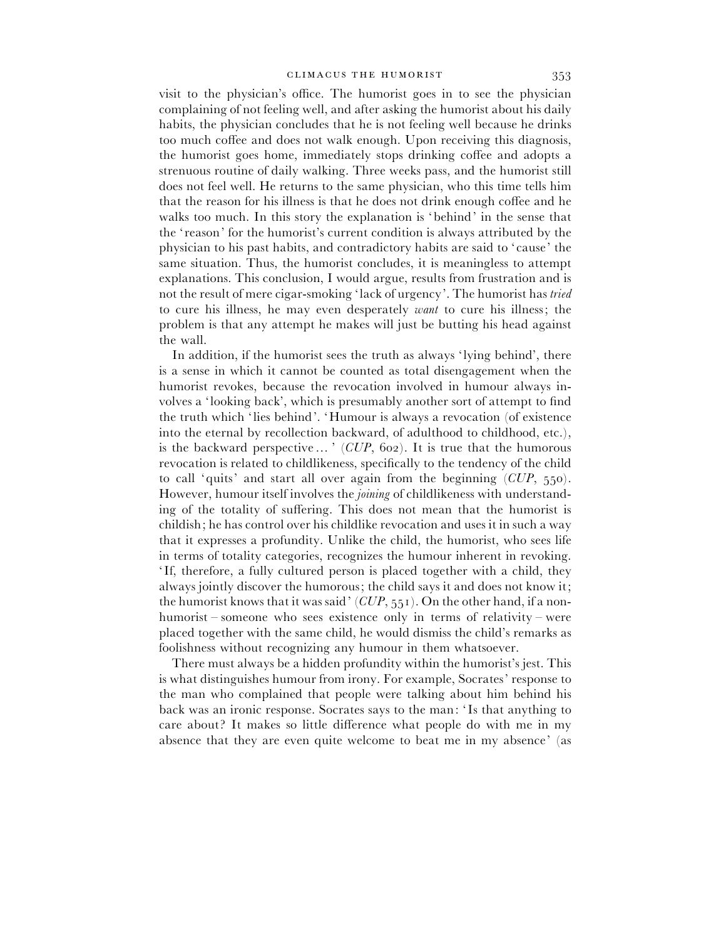visit to the physician's office. The humorist goes in to see the physician complaining of not feeling well, and after asking the humorist about his daily habits, the physician concludes that he is not feeling well because he drinks too much coffee and does not walk enough. Upon receiving this diagnosis, the humorist goes home, immediately stops drinking coffee and adopts a strenuous routine of daily walking. Three weeks pass, and the humorist still does not feel well. He returns to the same physician, who this time tells him that the reason for his illness is that he does not drink enough coffee and he walks too much. In this story the explanation is 'behind' in the sense that the ' reason' for the humorist's current condition is always attributed by the physician to his past habits, and contradictory habits are said to 'cause' the same situation. Thus, the humorist concludes, it is meaningless to attempt explanations. This conclusion, I would argue, results from frustration and is not the result of mere cigar-smoking 'lack of urgency'. The humorist has *tried* to cure his illness, he may even desperately *want* to cure his illness; the problem is that any attempt he makes will just be butting his head against the wall.

In addition, if the humorist sees the truth as always 'lying behind', there is a sense in which it cannot be counted as total disengagement when the humorist revokes, because the revocation involved in humour always involves a 'looking back', which is presumably another sort of attempt to find the truth which 'lies behind'. 'Humour is always a revocation (of existence into the eternal by recollection backward, of adulthood to childhood, etc.), is the backward perspective ... '  $(CUP, 602)$ . It is true that the humorous revocation is related to childlikeness, specifically to the tendency of the child to call 'quits' and start all over again from the beginning  $(CUP, 550)$ . However, humour itself involves the *joining* of childlikeness with understanding of the totality of suffering. This does not mean that the humorist is childish; he has control over his childlike revocation and uses it in such a way that it expresses a profundity. Unlike the child, the humorist, who sees life in terms of totality categories, recognizes the humour inherent in revoking. 'If, therefore, a fully cultured person is placed together with a child, they always jointly discover the humorous; the child says it and does not know it; the humorist knows that it was said'  $(CUP, 551)$ . On the other hand, if a nonhumorist – someone who sees existence only in terms of relativity – were placed together with the same child, he would dismiss the child's remarks as foolishness without recognizing any humour in them whatsoever.

There must always be a hidden profundity within the humorist's jest. This is what distinguishes humour from irony. For example, Socrates' response to the man who complained that people were talking about him behind his back was an ironic response. Socrates says to the man: 'Is that anything to care about? It makes so little difference what people do with me in my absence that they are even quite welcome to beat me in my absence' (as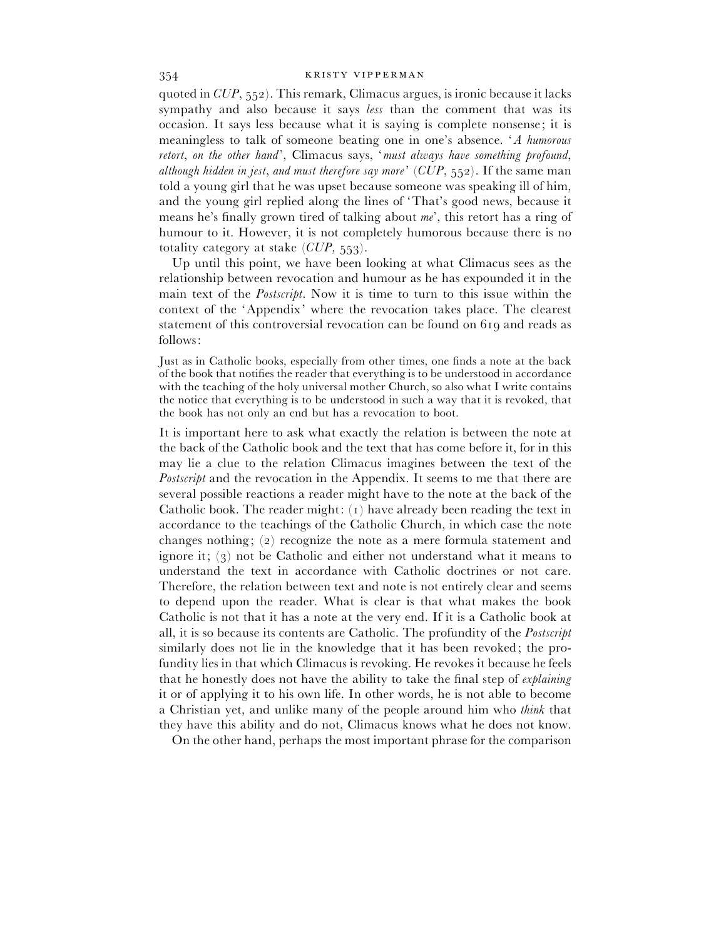quoted in *CUP*, 552). This remark, Climacus argues, is ironic because it lacks sympathy and also because it says *less* than the comment that was its occasion. It says less because what it is saying is complete nonsense; it is meaningless to talk of someone beating one in one's absence. '*A humorous retort*, *on the other hand*', Climacus says, '*must always have something profound*, *although hidden in jest, and must therefore say more*'  $(CUP, 552)$ . If the same man told a young girl that he was upset because someone was speaking ill of him, and the young girl replied along the lines of 'That's good news, because it means he's finally grown tired of talking about *me*', this retort has a ring of humour to it. However, it is not completely humorous because there is no totality category at stake  $(CUP, 553)$ .

Up until this point, we have been looking at what Climacus sees as the relationship between revocation and humour as he has expounded it in the main text of the *Postscript*. Now it is time to turn to this issue within the context of the 'Appendix' where the revocation takes place. The clearest statement of this controversial revocation can be found on 619 and reads as follows:

Just as in Catholic books, especially from other times, one finds a note at the back of the book that notifies the reader that everything is to be understood in accordance with the teaching of the holy universal mother Church, so also what I write contains the notice that everything is to be understood in such a way that it is revoked, that the book has not only an end but has a revocation to boot.

It is important here to ask what exactly the relation is between the note at the back of the Catholic book and the text that has come before it, for in this may lie a clue to the relation Climacus imagines between the text of the *Postscript* and the revocation in the Appendix. It seems to me that there are several possible reactions a reader might have to the note at the back of the Catholic book. The reader might:  $(I)$  have already been reading the text in accordance to the teachings of the Catholic Church, in which case the note changes nothing;  $(2)$  recognize the note as a mere formula statement and ignore it;  $(3)$  not be Catholic and either not understand what it means to understand the text in accordance with Catholic doctrines or not care. Therefore, the relation between text and note is not entirely clear and seems to depend upon the reader. What is clear is that what makes the book Catholic is not that it has a note at the very end. If it is a Catholic book at all, it is so because its contents are Catholic. The profundity of the *Postscript* similarly does not lie in the knowledge that it has been revoked; the profundity lies in that which Climacus is revoking. He revokes it because he feels that he honestly does not have the ability to take the final step of *explaining* it or of applying it to his own life. In other words, he is not able to become a Christian yet, and unlike many of the people around him who *think* that they have this ability and do not, Climacus knows what he does not know.

On the other hand, perhaps the most important phrase for the comparison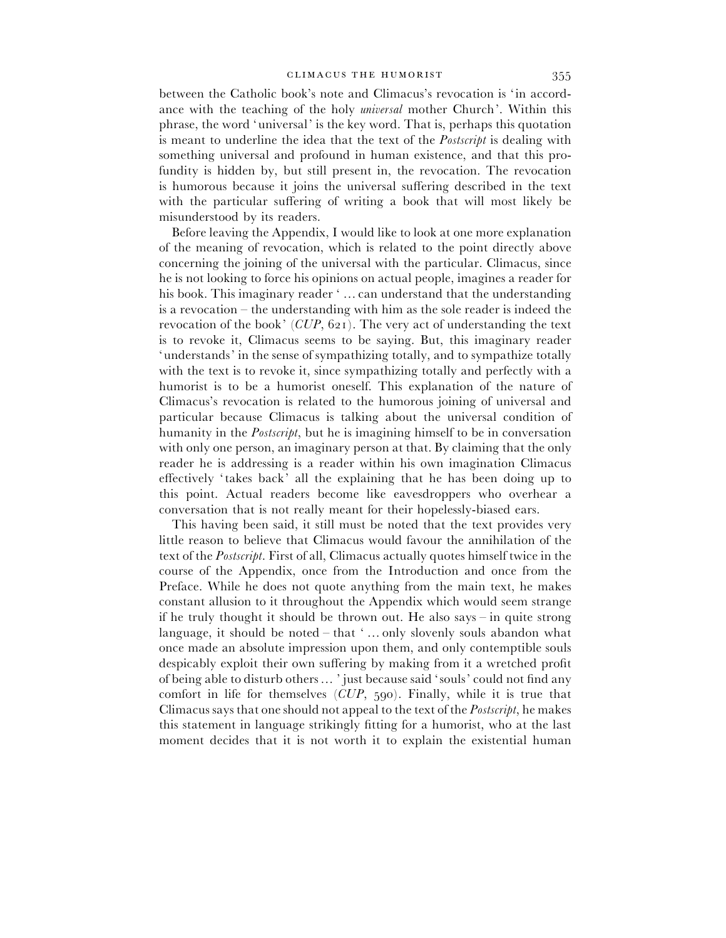between the Catholic book's note and Climacus's revocation is 'in accordance with the teaching of the holy *universal* mother Church'. Within this phrase, the word 'universal' is the key word. That is, perhaps this quotation is meant to underline the idea that the text of the *Postscript* is dealing with something universal and profound in human existence, and that this profundity is hidden by, but still present in, the revocation. The revocation is humorous because it joins the universal suffering described in the text with the particular suffering of writing a book that will most likely be misunderstood by its readers.

Before leaving the Appendix, I would like to look at one more explanation of the meaning of revocation, which is related to the point directly above concerning the joining of the universal with the particular. Climacus, since he is not looking to force his opinions on actual people, imagines a reader for his book. This imaginary reader ' … can understand that the understanding is a revocation – the understanding with him as the sole reader is indeed the revocation of the book'  $(CUP, 621)$ . The very act of understanding the text is to revoke it, Climacus seems to be saying. But, this imaginary reader 'understands' in the sense of sympathizing totally, and to sympathize totally with the text is to revoke it, since sympathizing totally and perfectly with a humorist is to be a humorist oneself. This explanation of the nature of Climacus's revocation is related to the humorous joining of universal and particular because Climacus is talking about the universal condition of humanity in the *Postscript*, but he is imagining himself to be in conversation with only one person, an imaginary person at that. By claiming that the only reader he is addressing is a reader within his own imagination Climacus effectively ' takes back' all the explaining that he has been doing up to this point. Actual readers become like eavesdroppers who overhear a conversation that is not really meant for their hopelessly-biased ears.

This having been said, it still must be noted that the text provides very little reason to believe that Climacus would favour the annihilation of the text of the *Postscript*. First of all, Climacus actually quotes himself twice in the course of the Appendix, once from the Introduction and once from the Preface. While he does not quote anything from the main text, he makes constant allusion to it throughout the Appendix which would seem strange if he truly thought it should be thrown out. He also says – in quite strong language, it should be noted – that ' … only slovenly souls abandon what once made an absolute impression upon them, and only contemptible souls despicably exploit their own suffering by making from it a wretched profit of being able to disturb others… ' just because said ' souls' could not find any comfort in life for themselves  $(CUP, 590)$ . Finally, while it is true that Climacus says that one should not appeal to the text of the *Postscript*, he makes this statement in language strikingly fitting for a humorist, who at the last moment decides that it is not worth it to explain the existential human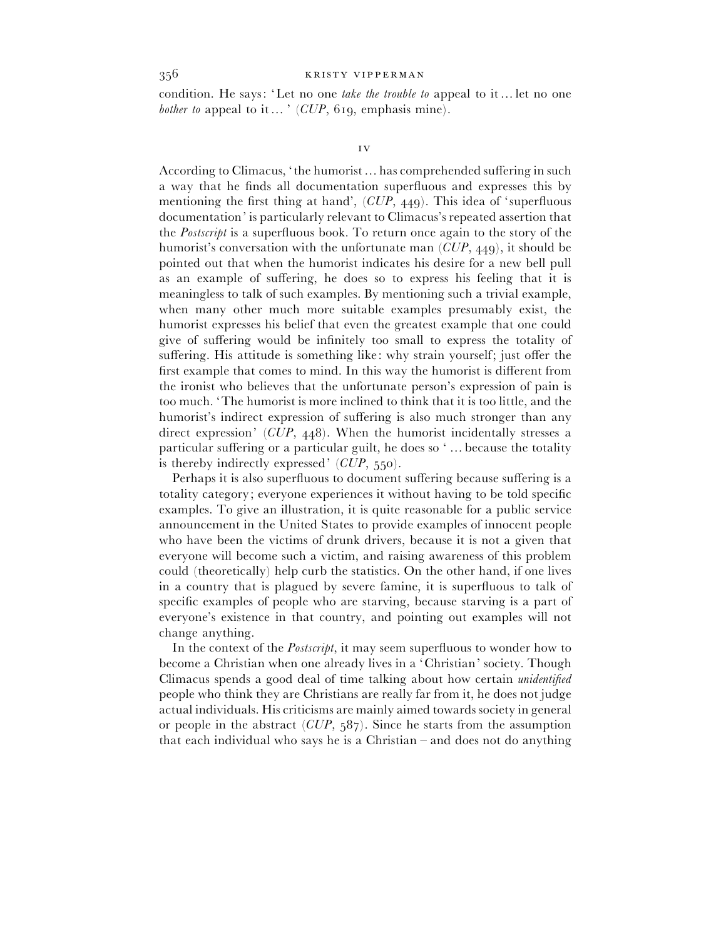condition. He says: 'Let no one *take the trouble to* appeal to it… let no one *bother to* appeal to it...,  $(CUP, 619,$  emphasis mine).

According to Climacus, ' the humorist… has comprehended suffering in such a way that he finds all documentation superfluous and expresses this by mentioning the first thing at hand', (CUP, 449). This idea of 'superfluous documentation' is particularly relevant to Climacus's repeated assertion that the *Postscript* is a superfluous book. To return once again to the story of the humorist's conversation with the unfortunate man  $(CUP, 449)$ , it should be pointed out that when the humorist indicates his desire for a new bell pull as an example of suffering, he does so to express his feeling that it is meaningless to talk of such examples. By mentioning such a trivial example, when many other much more suitable examples presumably exist, the humorist expresses his belief that even the greatest example that one could give of suffering would be infinitely too small to express the totality of suffering. His attitude is something like: why strain yourself; just offer the first example that comes to mind. In this way the humorist is different from the ironist who believes that the unfortunate person's expression of pain is too much. 'The humorist is more inclined to think that it is too little, and the humorist's indirect expression of suffering is also much stronger than any direct expression' *(CUP*, 448). When the humorist incidentally stresses a particular suffering or a particular guilt, he does so ' … because the totality is thereby indirectly expressed'  $(CUP, 550)$ .

Perhaps it is also superfluous to document suffering because suffering is a totality category; everyone experiences it without having to be told specific examples. To give an illustration, it is quite reasonable for a public service announcement in the United States to provide examples of innocent people who have been the victims of drunk drivers, because it is not a given that everyone will become such a victim, and raising awareness of this problem could (theoretically) help curb the statistics. On the other hand, if one lives in a country that is plagued by severe famine, it is superfluous to talk of specific examples of people who are starving, because starving is a part of everyone's existence in that country, and pointing out examples will not change anything.

In the context of the *Postscript*, it may seem superfluous to wonder how to become a Christian when one already lives in a 'Christian' society. Though Climacus spends a good deal of time talking about how certain *unidentified* people who think they are Christians are really far from it, he does not judge actual individuals. His criticisms are mainly aimed towards society in general or people in the abstract  $(CUP, 587)$ . Since he starts from the assumption that each individual who says he is a Christian – and does not do anything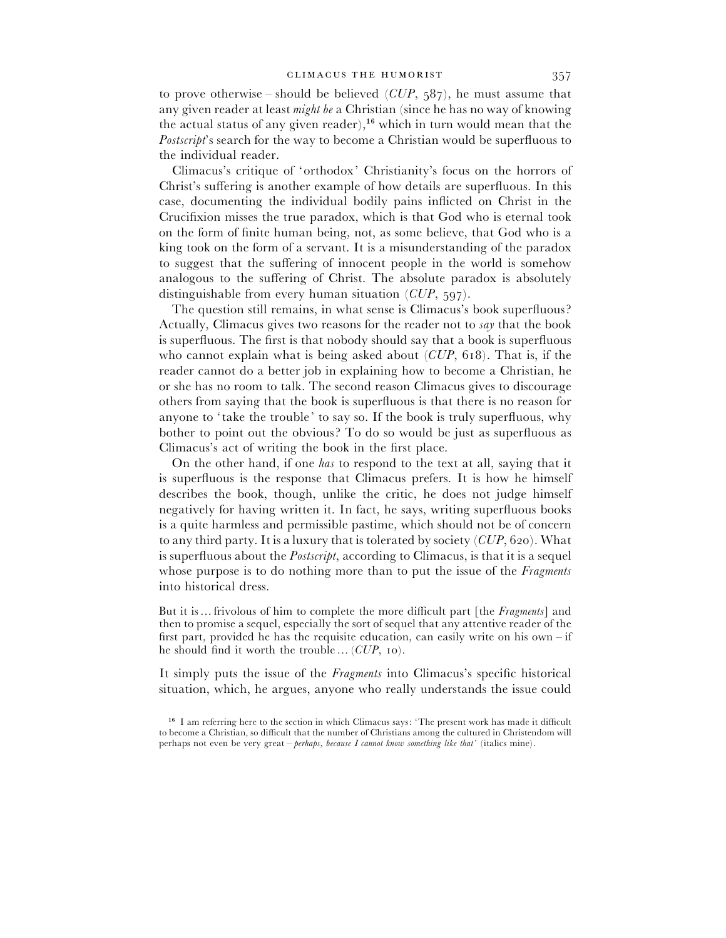to prove otherwise – should be believed  $(CUP, 587)$ , he must assume that any given reader at least *might be* a Christian (since he has no way of knowing the actual status of any given reader),<sup>16</sup> which in turn would mean that the *Postscript*'s search for the way to become a Christian would be superfluous to the individual reader.

Climacus's critique of ' orthodox' Christianity's focus on the horrors of Christ's suffering is another example of how details are superfluous. In this case, documenting the individual bodily pains inflicted on Christ in the Crucifixion misses the true paradox, which is that God who is eternal took on the form of finite human being, not, as some believe, that God who is a king took on the form of a servant. It is a misunderstanding of the paradox to suggest that the suffering of innocent people in the world is somehow analogous to the suffering of Christ. The absolute paradox is absolutely distinguishable from every human situation  $(CUP, 597)$ .

The question still remains, in what sense is Climacus's book superfluous ? Actually, Climacus gives two reasons for the reader not to *say* that the book is superfluous. The first is that nobody should say that a book is superfluous who cannot explain what is being asked about  $(CUP, 618)$ . That is, if the reader cannot do a better job in explaining how to become a Christian, he or she has no room to talk. The second reason Climacus gives to discourage others from saying that the book is superfluous is that there is no reason for anyone to 'take the trouble' to say so. If the book is truly superfluous, why bother to point out the obvious ? To do so would be just as superfluous as Climacus's act of writing the book in the first place.

On the other hand, if one *has* to respond to the text at all, saying that it is superfluous is the response that Climacus prefers. It is how he himself describes the book, though, unlike the critic, he does not judge himself negatively for having written it. In fact, he says, writing superfluous books is a quite harmless and permissible pastime, which should not be of concern to any third party. It is a luxury that is tolerated by society  $(CUP, 620)$ . What is superfluous about the *Postscript*, according to Climacus, is that it is a sequel whose purpose is to do nothing more than to put the issue of the *Fragments* into historical dress.

But it is… frivolous of him to complete the more difficult part [the *Fragments*] and then to promise a sequel, especially the sort of sequel that any attentive reader of the first part, provided he has the requisite education, can easily write on his own – if he should find it worth the trouble... (*CUP*, 10).

It simply puts the issue of the *Fragments* into Climacus's specific historical situation, which, he argues, anyone who really understands the issue could

 $^{16}$  I am referring here to the section in which Climacus says: 'The present work has made it difficult to become a Christian, so difficult that the number of Christians among the cultured in Christendom will perhaps not even be very great – *perhaps*, *because I cannot know something like that*' (italics mine).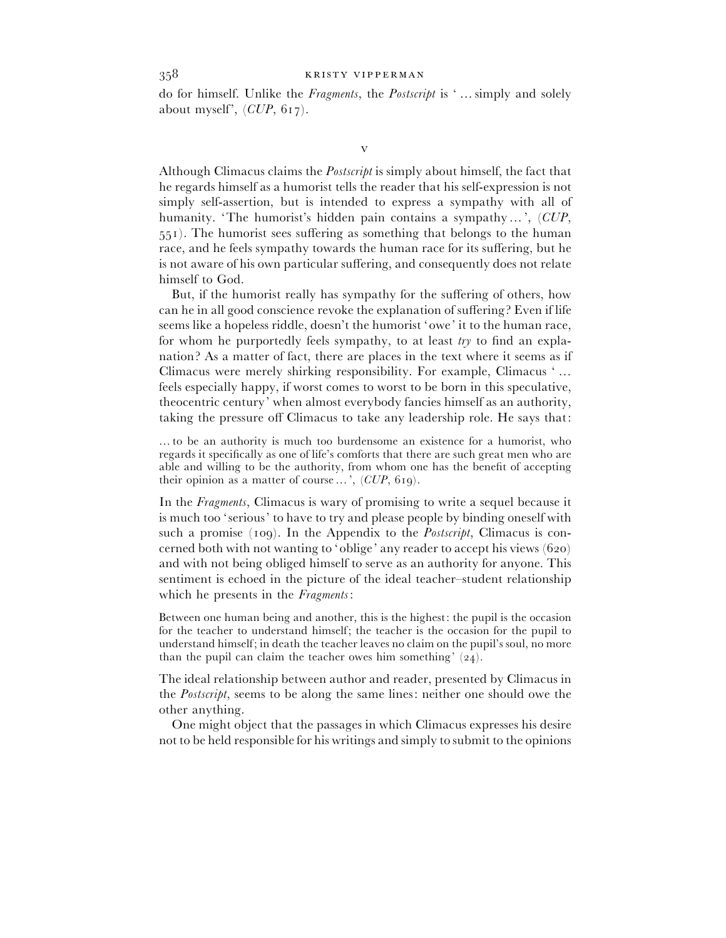do for himself. Unlike the *Fragments*, the *Postscript* is ' … simply and solely about myself',  $(CUP, 617)$ .

Although Climacus claims the *Postscript* is simply about himself, the fact that he regards himself as a humorist tells the reader that his self-expression is not simply self-assertion, but is intended to express a sympathy with all of humanity. 'The humorist's hidden pain contains a sympathy… ', (*CUP*, ). The humorist sees suffering as something that belongs to the human race, and he feels sympathy towards the human race for its suffering, but he is not aware of his own particular suffering, and consequently does not relate himself to God.

But, if the humorist really has sympathy for the suffering of others, how can he in all good conscience revoke the explanation of suffering ? Even if life seems like a hopeless riddle, doesn't the humorist 'owe' it to the human race, for whom he purportedly feels sympathy, to at least *try* to find an explanation ? As a matter of fact, there are places in the text where it seems as if Climacus were merely shirking responsibility. For example, Climacus ' … feels especially happy, if worst comes to worst to be born in this speculative, theocentric century' when almost everybody fancies himself as an authority, taking the pressure off Climacus to take any leadership role. He says that:

… to be an authority is much too burdensome an existence for a humorist, who regards it specifically as one of life's comforts that there are such great men who are able and willing to be the authority, from whom one has the benefit of accepting their opinion as a matter of course  $\ldots$ ,  $(CUP, 619)$ .

In the *Fragments*, Climacus is wary of promising to write a sequel because it is much too 'serious' to have to try and please people by binding oneself with such a promise (109). In the Appendix to the *Postscript*, Climacus is concerned both with not wanting to 'oblige' any reader to accept his views  $(620)$ and with not being obliged himself to serve as an authority for anyone. This sentiment is echoed in the picture of the ideal teacher–student relationship which he presents in the *Fragments*:

Between one human being and another, this is the highest: the pupil is the occasion for the teacher to understand himself; the teacher is the occasion for the pupil to understand himself; in death the teacher leaves no claim on the pupil's soul, no more than the pupil can claim the teacher owes him something'  $(24)$ .

The ideal relationship between author and reader, presented by Climacus in the *Postscript*, seems to be along the same lines: neither one should owe the other anything.

One might object that the passages in which Climacus expresses his desire not to be held responsible for his writings and simply to submit to the opinions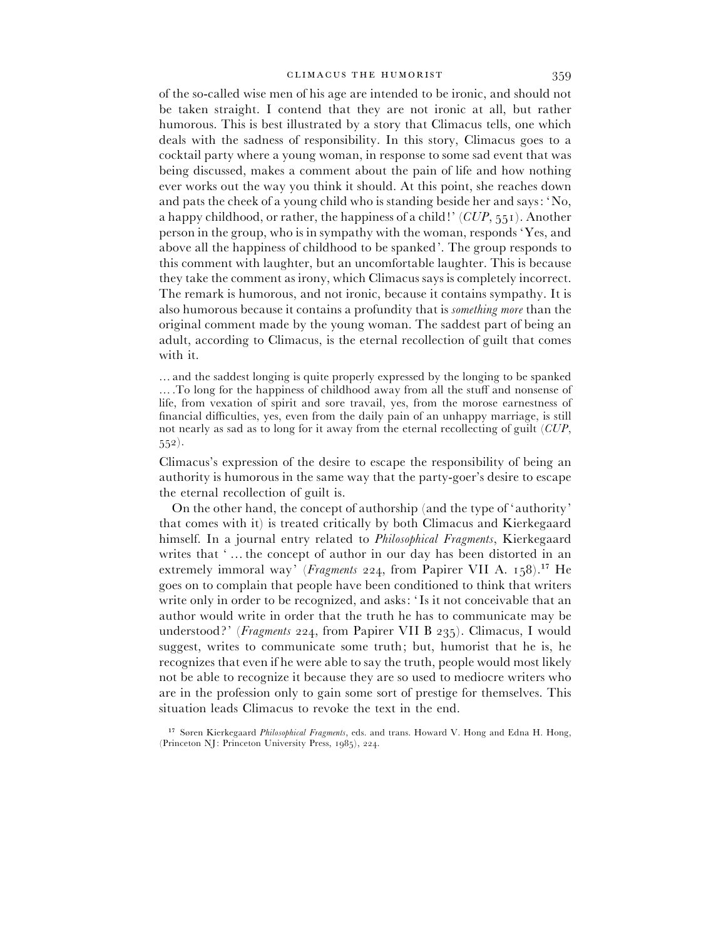of the so-called wise men of his age are intended to be ironic, and should not be taken straight. I contend that they are not ironic at all, but rather humorous. This is best illustrated by a story that Climacus tells, one which deals with the sadness of responsibility. In this story, Climacus goes to a cocktail party where a young woman, in response to some sad event that was being discussed, makes a comment about the pain of life and how nothing ever works out the way you think it should. At this point, she reaches down and pats the cheek of a young child who is standing beside her and says: 'No, a happy childhood, or rather, the happiness of a child!'  $(CUP, 551)$ . Another person in the group, who is in sympathy with the woman, responds 'Yes, and above all the happiness of childhood to be spanked'. The group responds to this comment with laughter, but an uncomfortable laughter. This is because they take the comment as irony, which Climacus says is completely incorrect. The remark is humorous, and not ironic, because it contains sympathy. It is also humorous because it contains a profundity that is *something more* than the original comment made by the young woman. The saddest part of being an adult, according to Climacus, is the eternal recollection of guilt that comes with it.

… and the saddest longing is quite properly expressed by the longing to be spanked … .To long for the happiness of childhood away from all the stuff and nonsense of life, from vexation of spirit and sore travail, yes, from the morose earnestness of financial difficulties, yes, even from the daily pain of an unhappy marriage, is still not nearly as sad as to long for it away from the eternal recollecting of guilt (*CUP*,  $(552)$ .

Climacus's expression of the desire to escape the responsibility of being an authority is humorous in the same way that the party-goer's desire to escape the eternal recollection of guilt is.

On the other hand, the concept of authorship (and the type of ' authority' that comes with it) is treated critically by both Climacus and Kierkegaard himself. In a journal entry related to *Philosophical Fragments*, Kierkegaard writes that '... the concept of author in our day has been distorted in an extremely immoral way' (*Fragments* 224, from Papirer VII A. 158).<sup>17</sup> He goes on to complain that people have been conditioned to think that writers write only in order to be recognized, and asks: 'Is it not conceivable that an author would write in order that the truth he has to communicate may be understood?' (*Fragments* 224, from Papirer VII B 235). Climacus, I would suggest, writes to communicate some truth; but, humorist that he is, he recognizes that even if he were able to say the truth, people would most likely not be able to recognize it because they are so used to mediocre writers who are in the profession only to gain some sort of prestige for themselves. This situation leads Climacus to revoke the text in the end.

<sup>17</sup> Søren Kierkegaard *Philosophical Fragments*, eds. and trans. Howard V. Hong and Edna H. Hong, (Princeton NJ: Princeton University Press,  $1985$ ),  $224$ .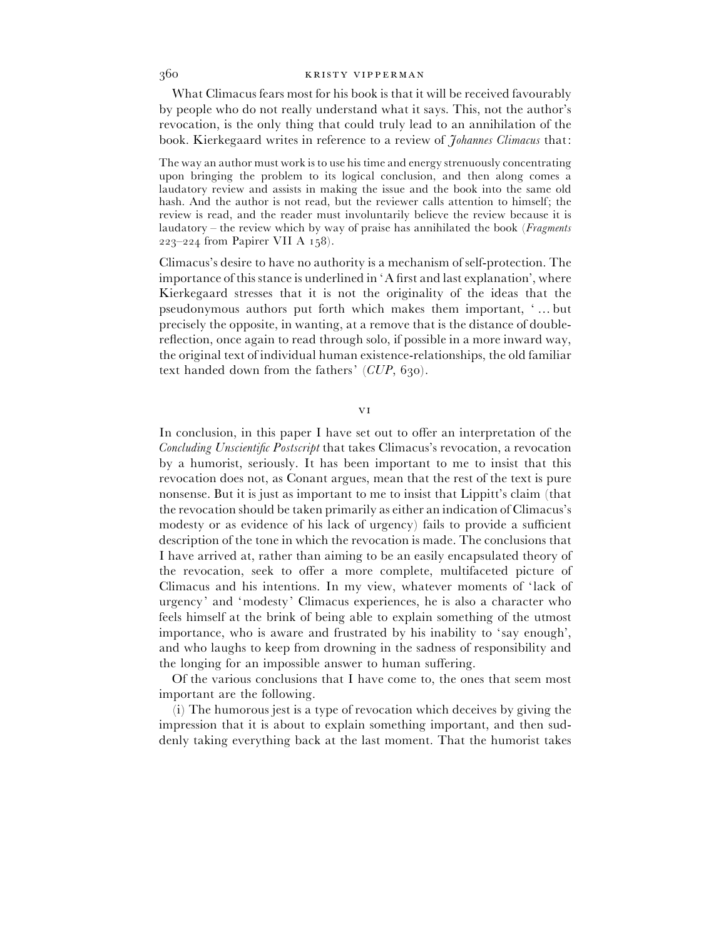What Climacus fears most for his book is that it will be received favourably by people who do not really understand what it says. This, not the author's revocation, is the only thing that could truly lead to an annihilation of the book. Kierkegaard writes in reference to a review of *Johannes Climacus* that:

The way an author must work is to use his time and energy strenuously concentrating upon bringing the problem to its logical conclusion, and then along comes a laudatory review and assists in making the issue and the book into the same old hash. And the author is not read, but the reviewer calls attention to himself; the review is read, and the reader must involuntarily believe the review because it is laudatory – the review which by way of praise has annihilated the book (*Fragments*  $223$ –224 from Papirer VII A  $158$ ).

Climacus's desire to have no authority is a mechanism of self-protection. The importance of this stance is underlined in 'A first and last explanation', where Kierkegaard stresses that it is not the originality of the ideas that the pseudonymous authors put forth which makes them important, ' … but precisely the opposite, in wanting, at a remove that is the distance of doublereflection, once again to read through solo, if possible in a more inward way, the original text of individual human existence-relationships, the old familiar text handed down from the fathers' (*CUP*, 630).

 $V<sub>I</sub>$ 

In conclusion, in this paper I have set out to offer an interpretation of the *Concluding Unscientific Postscript* that takes Climacus's revocation, a revocation by a humorist, seriously. It has been important to me to insist that this revocation does not, as Conant argues, mean that the rest of the text is pure nonsense. But it is just as important to me to insist that Lippitt's claim (that the revocation should be taken primarily as either an indication of Climacus's modesty or as evidence of his lack of urgency) fails to provide a sufficient description of the tone in which the revocation is made. The conclusions that I have arrived at, rather than aiming to be an easily encapsulated theory of the revocation, seek to offer a more complete, multifaceted picture of Climacus and his intentions. In my view, whatever moments of 'lack of urgency' and 'modesty' Climacus experiences, he is also a character who feels himself at the brink of being able to explain something of the utmost importance, who is aware and frustrated by his inability to 'say enough', and who laughs to keep from drowning in the sadness of responsibility and the longing for an impossible answer to human suffering.

Of the various conclusions that I have come to, the ones that seem most important are the following.

(i) The humorous jest is a type of revocation which deceives by giving the impression that it is about to explain something important, and then suddenly taking everything back at the last moment. That the humorist takes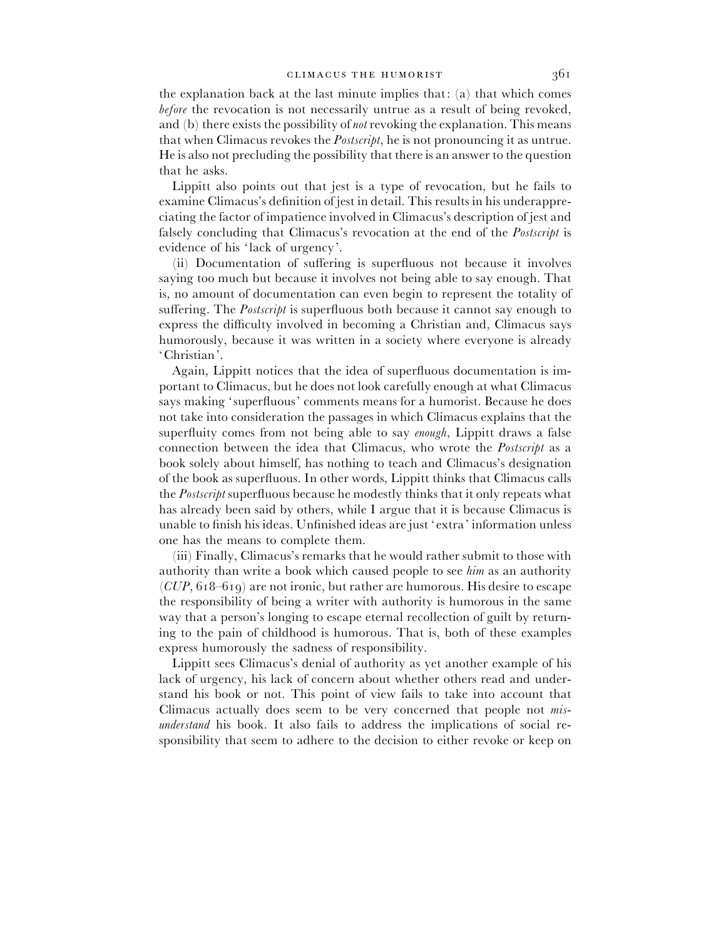the explanation back at the last minute implies that: (a) that which comes *before* the revocation is not necessarily untrue as a result of being revoked, and (b) there exists the possibility of *not*revoking the explanation. This means that when Climacus revokes the *Postscript*, he is not pronouncing it as untrue. He is also not precluding the possibility that there is an answer to the question that he asks.

Lippitt also points out that jest is a type of revocation, but he fails to examine Climacus's definition of jest in detail. This results in his underappreciating the factor of impatience involved in Climacus's description of jest and falsely concluding that Climacus's revocation at the end of the *Postscript* is evidence of his 'lack of urgency'.

(ii) Documentation of suffering is superfluous not because it involves saying too much but because it involves not being able to say enough. That is, no amount of documentation can even begin to represent the totality of suffering. The *Postscript* is superfluous both because it cannot say enough to express the difficulty involved in becoming a Christian and, Climacus says humorously, because it was written in a society where everyone is already 'Christian'.

Again, Lippitt notices that the idea of superfluous documentation is important to Climacus, but he does not look carefully enough at what Climacus says making 'superfluous' comments means for a humorist. Because he does not take into consideration the passages in which Climacus explains that the superfluity comes from not being able to say *enough*, Lippitt draws a false connection between the idea that Climacus, who wrote the *Postscript* as a book solely about himself, has nothing to teach and Climacus's designation of the book as superfluous. In other words, Lippitt thinks that Climacus calls the *Postscript* superfluous because he modestly thinks that it only repeats what has already been said by others, while I argue that it is because Climacus is unable to finish his ideas. Unfinished ideas are just 'extra' information unless one has the means to complete them.

(iii) Finally, Climacus's remarks that he would rather submit to those with authority than write a book which caused people to see *him* as an authority  $(CUP, 618-619)$  are not ironic, but rather are humorous. His desire to escape the responsibility of being a writer with authority is humorous in the same way that a person's longing to escape eternal recollection of guilt by returning to the pain of childhood is humorous. That is, both of these examples express humorously the sadness of responsibility.

Lippitt sees Climacus's denial of authority as yet another example of his lack of urgency, his lack of concern about whether others read and understand his book or not. This point of view fails to take into account that Climacus actually does seem to be very concerned that people not *misunderstand* his book. It also fails to address the implications of social responsibility that seem to adhere to the decision to either revoke or keep on